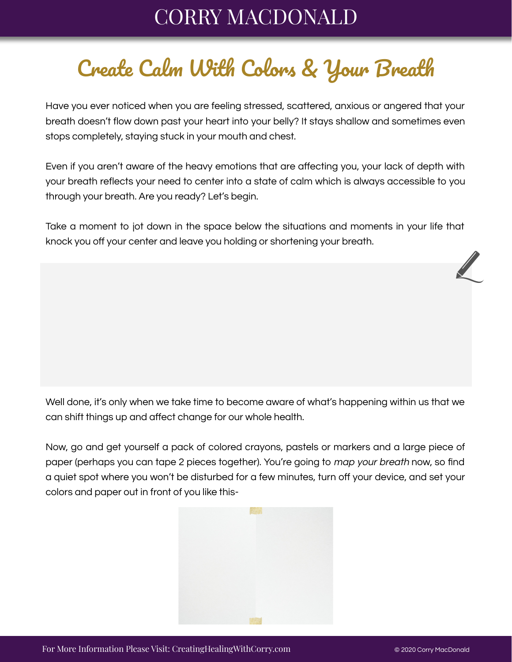## CORRY MACDONALD

## Create Calm With Colors & Your Breath

Have you ever noticed when you are feeling stressed, scattered, anxious or angered that your breath doesn't flow down past your heart into your belly? It stays shallow and sometimes even stops completely, staying stuck in your mouth and chest.

Even if you aren't aware of the heavy emotions that are affecting you, your lack of depth with your breath reflects your need to center into a state of calm which is always accessible to you through your breath. Are you ready? Let's begin.

Take a moment to jot down in the space below the situations and moments in your life that knock you off your center and leave you holding or shortening your breath.

Well done, it's only when we take time to become aware of what's happening within us that we can shift things up and affect change for our whole health.

Now, go and get yourself a pack of colored crayons, pastels or markers and a large piece of paper (perhaps you can tape 2 pieces together). You're going to map your breath now, so find a quiet spot where you won't be disturbed for a few minutes, turn off your device, and set your colors and paper out in front of you like this-